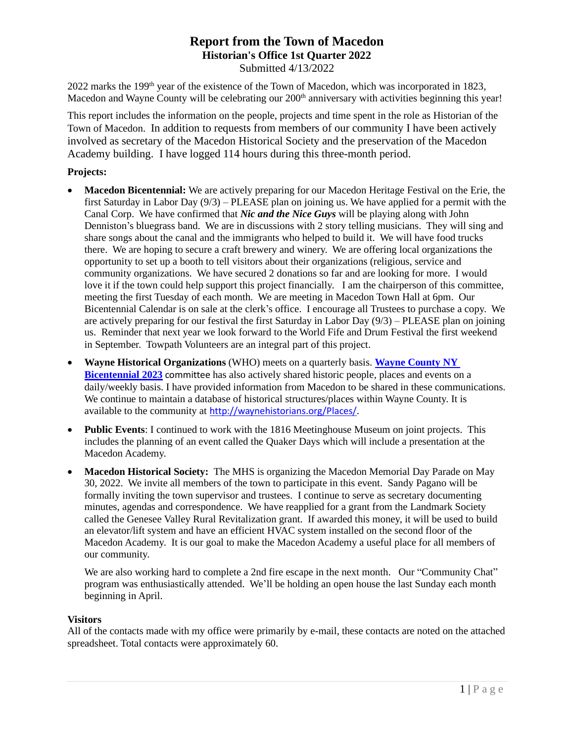# **Report from the Town of Macedon Historian's Office 1st Quarter 2022**

Submitted 4/13/2022

2022 marks the 199<sup>th</sup> year of the existence of the Town of Macedon, which was incorporated in 1823, Macedon and Wayne County will be celebrating our 200<sup>th</sup> anniversary with activities beginning this year!

This report includes the information on the people, projects and time spent in the role as Historian of the Town of Macedon. In addition to requests from members of our community I have been actively involved as secretary of the Macedon Historical Society and the preservation of the Macedon Academy building. I have logged 114 hours during this three-month period.

## **Projects:**

- **Macedon Bicentennial:** We are actively preparing for our Macedon Heritage Festival on the Erie, the first Saturday in Labor Day (9/3) – PLEASE plan on joining us. We have applied for a permit with the Canal Corp. We have confirmed that *Nic and the Nice Guys* will be playing along with John Denniston's bluegrass band. We are in discussions with 2 story telling musicians. They will sing and share songs about the canal and the immigrants who helped to build it. We will have food trucks there. We are hoping to secure a craft brewery and winery. We are offering local organizations the opportunity to set up a booth to tell visitors about their organizations (religious, service and community organizations. We have secured 2 donations so far and are looking for more. I would love it if the town could help support this project financially. I am the chairperson of this committee, meeting the first Tuesday of each month. We are meeting in Macedon Town Hall at 6pm. Our Bicentennial Calendar is on sale at the clerk's office. I encourage all Trustees to purchase a copy. We are actively preparing for our festival the first Saturday in Labor Day (9/3) – PLEASE plan on joining us. Reminder that next year we look forward to the World Fife and Drum Festival the first weekend in September. Towpath Volunteers are an integral part of this project.
- **Wayne Historical Organizations** (WHO) meets on a quarterly basis. **Wayne [County](https://www.facebook.com/waynecounty200/) NY [Bicentennial](https://www.facebook.com/waynecounty200/) 2023** committee has also actively shared historic people, places and events on a daily/weekly basis. I have provided information from Macedon to be shared in these communications. We continue to maintain a database of historical structures/places within Wayne County. It is available to the community at <http://waynehistorians.org/Places/>.
- **Public Events**: I continued to work with the 1816 Meetinghouse Museum on joint projects. This includes the planning of an event called the Quaker Days which will include a presentation at the Macedon Academy.
- Macedon Historical Society: The MHS is organizing the Macedon Memorial Day Parade on May 30, 2022. We invite all members of the town to participate in this event. Sandy Pagano will be formally inviting the town supervisor and trustees. I continue to serve as secretary documenting minutes, agendas and correspondence. We have reapplied for a grant from the Landmark Society called the Genesee Valley Rural Revitalization grant. If awarded this money, it will be used to build an elevator/lift system and have an efficient HVAC system installed on the second floor of the Macedon Academy. It is our goal to make the Macedon Academy a useful place for all members of our community.

We are also working hard to complete a 2nd fire escape in the next month. Our "Community Chat" program was enthusiastically attended. We'll be holding an open house the last Sunday each month beginning in April.

### **Visitors**

All of the contacts made with my office were primarily by e-mail, these contacts are noted on the attached spreadsheet. Total contacts were approximately 60.